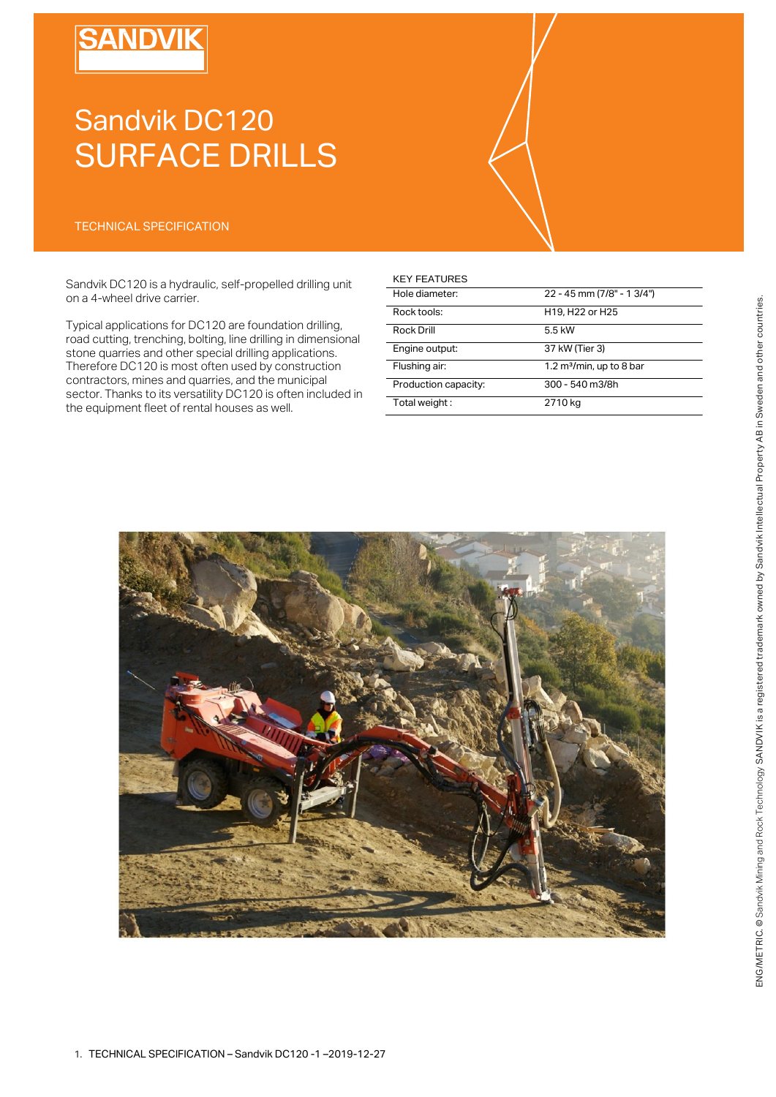# **SANDVII**

# Sandvik DC120 SURFACE DRILLS

### TECHNICAL SPECIFICATION

Sandvik DC120 is a hydraulic, self-propelled drilling unit on a 4-wheel drive carrier.

Typical applications for DC120 are foundation drilling, road cutting, trenching, bolting, line drilling in dimensional stone quarries and other special drilling applications. Therefore DC120 is most often used by construction contractors, mines and quarries, and the municipal sector. Thanks to its versatility DC120 is often included in the equipment fleet of rental houses as well.

## KEY FEATURES

| Hole diameter:       | 22 - 45 mm (7/8" - 1 3/4") |
|----------------------|----------------------------|
| Rock tools:          | H19, H22 or H25            |
| <b>Rock Drill</b>    | 5.5 kW                     |
| Engine output:       | 37 kW (Tier 3)             |
| Flushing air:        | 1.2 $m3/min$ , up to 8 bar |
| Production capacity: | 300 - 540 m3/8h            |
| Total weight:        | 2710 kg                    |

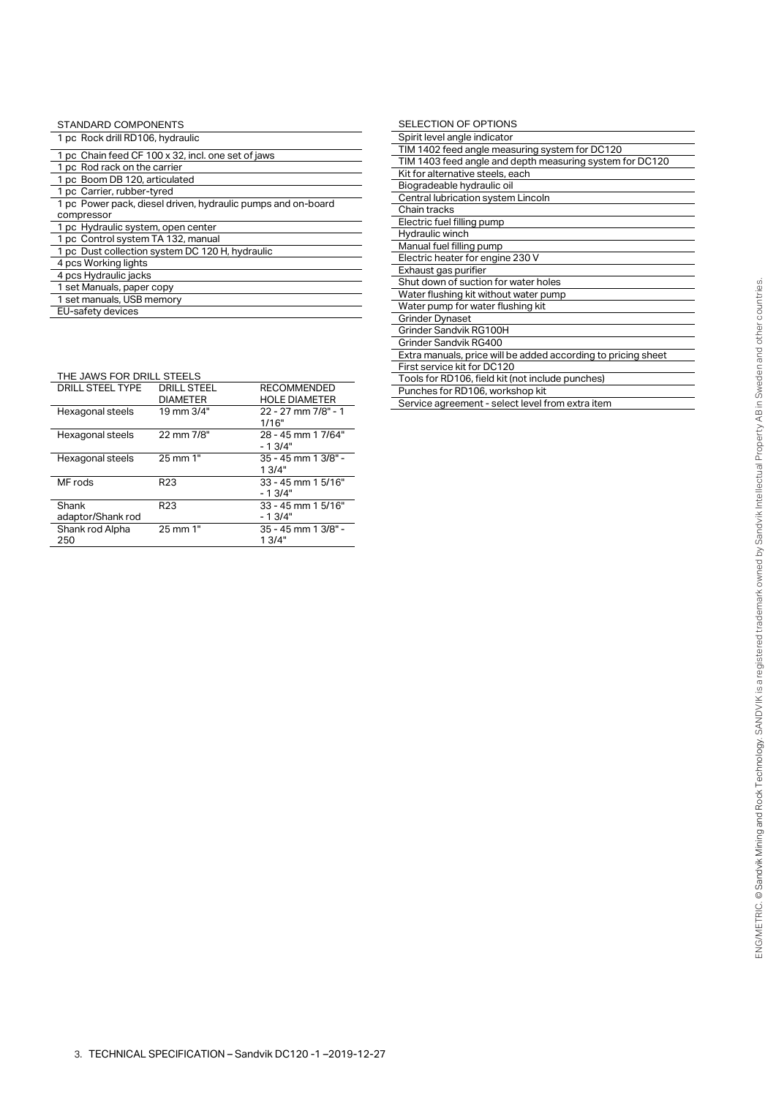| STANDARD COMPONENTS                                          |
|--------------------------------------------------------------|
| 1 pc Rock drill RD106, hydraulic                             |
| 1 pc Chain feed CF 100 x 32, incl. one set of jaws           |
| 1 pc Rod rack on the carrier                                 |
| 1 pc Boom DB 120, articulated                                |
| 1 pc Carrier, rubber-tyred                                   |
| 1 pc Power pack, diesel driven, hydraulic pumps and on-board |
| compressor                                                   |
| 1 pc Hydraulic system, open center                           |
| 1 pc Control system TA 132, manual                           |
| 1 pc Dust collection system DC 120 H, hydraulic              |
| 4 pcs Working lights                                         |
| 4 pcs Hydraulic jacks                                        |
| 1 set Manuals, paper copy                                    |
| 1 set manuals, USB memory                                    |
| EU-safety devices                                            |

| THE JAWS FOR DRILL STEELS  |                                       |                                            |
|----------------------------|---------------------------------------|--------------------------------------------|
| DRILL STEEL TYPE           | <b>DRILL STEEL</b><br><b>DIAMETER</b> | <b>RECOMMENDED</b><br><b>HOLE DIAMETER</b> |
| Hexagonal steels           | 19 mm 3/4"                            | 22 - 27 mm 7/8" - 1<br>1/16"               |
| Hexagonal steels           | 22 mm 7/8"                            | 28 - 45 mm 1 7/64"<br>$-1.3/4"$            |
| Hexagonal steels           | 25 mm 1"                              | 35 - 45 mm 1 3/8" -<br>13/4"               |
| MF rods                    | R <sub>23</sub>                       | 33 - 45 mm 1 5/16"<br>$-13/4"$             |
| Shank<br>adaptor/Shank rod | R <sub>23</sub>                       | $33 - 45$ mm 1 $5/16"$<br>$-13/4"$         |
| Shank rod Alpha<br>250     | 25 mm 1"                              | 35 - 45 mm 1 3/8" -<br>13/4"               |

| SELECTION OF OPTIONS                                          |
|---------------------------------------------------------------|
| Spirit level angle indicator                                  |
| TIM 1402 feed angle measuring system for DC120                |
| TIM 1403 feed angle and depth measuring system for DC120      |
| Kit for alternative steels, each                              |
| Biogradeable hydraulic oil                                    |
| Central lubrication system Lincoln                            |
| Chain tracks                                                  |
| Electric fuel filling pump                                    |
| Hydraulic winch                                               |
| Manual fuel filling pump                                      |
| Electric heater for engine 230 V                              |
| Exhaust gas purifier                                          |
| Shut down of suction for water holes                          |
| Water flushing kit without water pump                         |
| Water pump for water flushing kit                             |
| <b>Grinder Dynaset</b>                                        |
| Grinder Sandvik RG100H                                        |
| Grinder Sandvik RG400                                         |
| Extra manuals, price will be added according to pricing sheet |
| First service kit for DC120                                   |
| Tools for RD106, field kit (not include punches)              |
| Punches for RD106, workshop kit                               |

Service agreement - select level from extra item